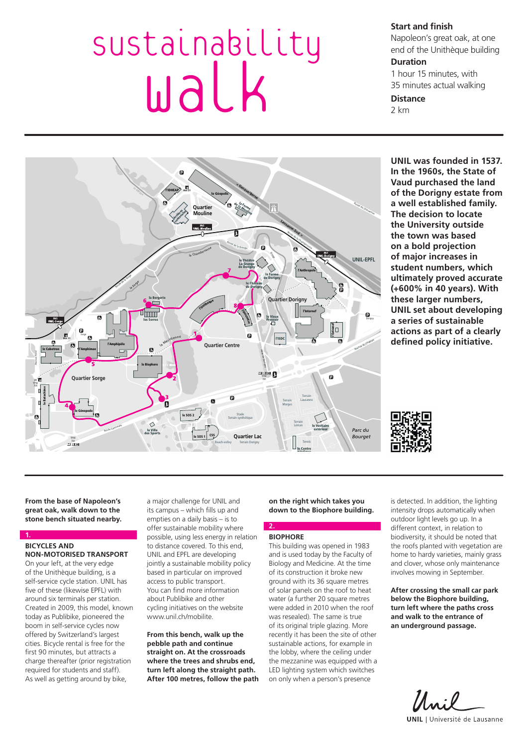# Sustainability walk

**Start and finish** 

Napoleon's great oak, at one end of the Unithèque building

# **Duration**

1 hour 15 minutes, with 35 minutes actual walking

## **Distance**

2 km



**UNIL was founded in 1537. In the 1960s, the State of Vaud purchased the land of the Dorigny estate from a well established family. The decision to locate the University outside the town was based on a bold projection of major increases in student numbers, which ultimately proved accurate (+600% in 40 years). With these larger numbers, UNIL set about developing a series of sustainable actions as part of a clearly defined policy initiative.**



**From the base of Napoleon's great oak, walk down to the stone bench situated nearby.**

#### **1. BICYCLES AND NON-MOTORISED TRANSPORT**

On your left, at the very edge of the Unithèque building, is a self-service cycle station. UNIL has five of these (likewise EPFL) with around six terminals per station. Created in 2009, this model, known today as Publibike, pioneered the boom in self-service cycles now offered by Switzerland's largest cities. Bicycle rental is free for the first 90 minutes, but attracts a charge thereafter (prior registration required for students and staff). As well as getting around by bike,

a major challenge for UNIL and its campus – which fills up and empties on a daily basis – is to offer sustainable mobility where possible, using less energy in relation to distance covered. To this end, UNIL and EPFL are developing jointly a sustainable mobility policy based in particular on improved access to public transport. You can find more information about Publibike and other cycling initiatives on the website www.unil.ch/mobilite.

**From this bench, walk up the pebble path and continue straight on. At the crossroads where the trees and shrubs end, turn left along the straight path. After 100 metres, follow the path**  **on the right which takes you down to the Biophore building.** 

# **BIOPHORE**

**2.**

This building was opened in 1983 and is used today by the Faculty of Biology and Medicine. At the time of its construction it broke new ground with its 36 square metres of solar panels on the roof to heat water (a further 20 square metres were added in 2010 when the roof was resealed). The same is true of its original triple glazing. More recently it has been the site of other sustainable actions, for example in the lobby, where the ceiling under the mezzanine was equipped with a LED lighting system which switches on only when a person's presence

is detected. In addition, the lighting intensity drops automatically when outdoor light levels go up. In a different context, in relation to biodiversity, it should be noted that the roofs planted with vegetation are home to hardy varieties, mainly grass and clover, whose only maintenance involves mowing in September.

**After crossing the small car park below the Biophore building, turn left where the paths cross and walk to the entrance of an underground passage.**

Uni **UNIL** | Université de Lausanne